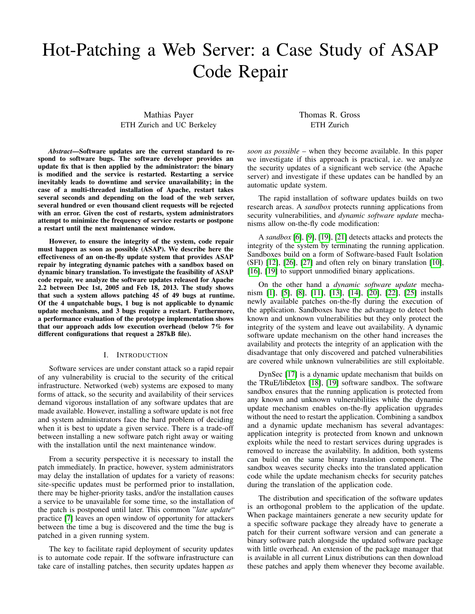# Hot-Patching a Web Server: a Case Study of ASAP Code Repair

Mathias Payer ETH Zurich and UC Berkeley Thomas R. Gross ETH Zurich

*Abstract*—Software updates are the current standard to respond to software bugs. The software developer provides an update fix that is then applied by the administrator: the binary is modified and the service is restarted. Restarting a service inevitably leads to downtime and service unavailability; in the case of a multi-threaded installation of Apache, restart takes several seconds and depending on the load of the web server, several hundred or even thousand client requests will be rejected with an error. Given the cost of restarts, system administrators attempt to minimize the frequency of service restarts or postpone a restart until the next maintenance window.

However, to ensure the integrity of the system, code repair must happen as soon as possible (ASAP). We describe here the effectiveness of an on-the-fly update system that provides ASAP repair by integrating dynamic patches with a sandbox based on dynamic binary translation. To investigate the feasibility of ASAP code repair, we analyze the software updates released for Apache 2.2 between Dec 1st, 2005 and Feb 18, 2013. The study shows that such a system allows patching 45 of 49 bugs at runtime. Of the 4 unpatchable bugs, 1 bug is not applicable to dynamic update mechanisms, and 3 bugs require a restart. Furthermore, a performance evaluation of the prototype implementation shows that our approach adds low execution overhead (below 7% for different configurations that request a 287kB file).

#### I. INTRODUCTION

Software services are under constant attack so a rapid repair of any vulnerability is crucial to the security of the critical infrastructure. Networked (web) systems are exposed to many forms of attack, so the security and availability of their services demand vigorous installation of any software updates that are made available. However, installing a software update is not free and system administrators face the hard problem of deciding when it is best to update a given service. There is a trade-off between installing a new software patch right away or waiting with the installation until the next maintenance window.

From a security perspective it is necessary to install the patch immediately. In practice, however, system administrators may delay the installation of updates for a variety of reasons: site-specific updates must be performed prior to installation, there may be higher-priority tasks, and/or the installation causes a service to be unavailable for some time, so the installation of the patch is postponed until later. This common "*late update*" practice [\[7\]](#page-7-0) leaves an open window of opportunity for attackers between the time a bug is discovered and the time the bug is patched in a given running system.

The key to facilitate rapid deployment of security updates is to automate code repair. If the software infrastructure can take care of installing patches, then security updates happen *as* *soon as possible* – when they become available. In this paper we investigate if this approach is practical, i.e. we analyze the security updates of a significant web service (the Apache server) and investigate if these updates can be handled by an automatic update system.

The rapid installation of software updates builds on two research areas. A *sandbox* protects running applications from security vulnerabilities, and *dynamic software update* mechanisms allow on-the-fly code modification:

A *sandbox* [\[6\]](#page-7-1), [\[9\]](#page-7-2), [\[19\]](#page-7-3), [\[21\]](#page-7-4) detects attacks and protects the integrity of the system by terminating the running application. Sandboxes build on a form of Software-based Fault Isolation (SFI) [\[12\]](#page-7-5), [\[26\]](#page-7-6), [\[27\]](#page-7-7) and often rely on binary translation [\[10\]](#page-7-8), [\[16\]](#page-7-9), [\[19\]](#page-7-3) to support unmodified binary applications.

On the other hand a *dynamic software update* mechanism [\[1\]](#page-7-10), [\[5\]](#page-7-11), [\[8\]](#page-7-12), [\[11\]](#page-7-13), [\[13\]](#page-7-14), [\[14\]](#page-7-15), [\[20\]](#page-7-16), [\[22\]](#page-7-17), [\[25\]](#page-7-18) installs newly available patches on-the-fly during the execution of the application. Sandboxes have the advantage to detect both known and unknown vulnerabilities but they only protect the integrity of the system and leave out availability. A dynamic software update mechanism on the other hand increases the availability and protects the integrity of an application with the disadvantage that only discovered and patched vulnerabilities are covered while unknown vulnerabilities are still exploitable.

DynSec [\[17\]](#page-7-19) is a dynamic update mechanism that builds on the TRuE/libdetox [\[18\]](#page-7-20), [\[19\]](#page-7-3) software sandbox. The software sandbox ensures that the running application is protected from any known and unknown vulnerabilities while the dynamic update mechanism enables on-the-fly application upgrades without the need to restart the application. Combining a sandbox and a dynamic update mechanism has several advantages: application integrity is protected from known and unknown exploits while the need to restart services during upgrades is removed to increase the availability. In addition, both systems can build on the same binary translation component. The sandbox weaves security checks into the translated application code while the update mechanism checks for security patches during the translation of the application code.

The distribution and specification of the software updates is an orthogonal problem to the application of the update. When package maintainers generate a new security update for a specific software package they already have to generate a patch for their current software version and can generate a binary software patch alongside the updated software package with little overhead. An extension of the package manager that is available in all current Linux distributions can then download these patches and apply them whenever they become available.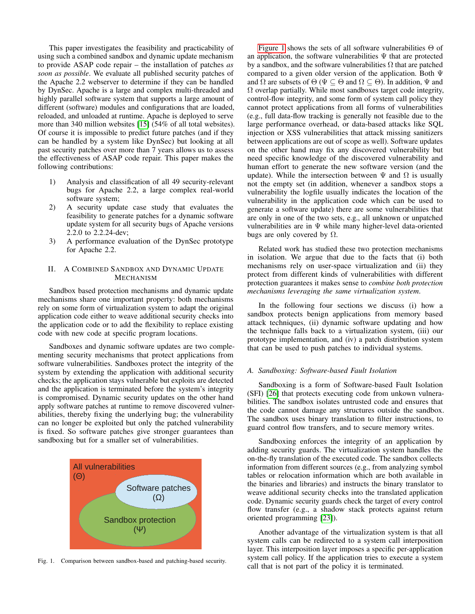This paper investigates the feasibility and practicability of using such a combined sandbox and dynamic update mechanism to provide ASAP code repair – the installation of patches *as soon as possible*. We evaluate all published security patches of the Apache 2.2 webserver to determine if they can be handled by DynSec. Apache is a large and complex multi-threaded and highly parallel software system that supports a large amount of different (software) modules and configurations that are loaded, reloaded, and unloaded at runtime. Apache is deployed to serve more than 340 million websites [\[15\]](#page-7-21) (54% of all total websites). Of course it is impossible to predict future patches (and if they can be handled by a system like DynSec) but looking at all past security patches over more than 7 years allows us to assess the effectiveness of ASAP code repair. This paper makes the following contributions:

- 1) Analysis and classification of all 49 security-relevant bugs for Apache 2.2, a large complex real-world software system;
- 2) A security update case study that evaluates the feasibility to generate patches for a dynamic software update system for all security bugs of Apache versions 2.2.0 to 2.2.24-dev;
- 3) A performance evaluation of the DynSec prototype for Apache 2.2.

# II. A COMBINED SANDBOX AND DYNAMIC UPDATE MECHANISM

Sandbox based protection mechanisms and dynamic update mechanisms share one important property: both mechanisms rely on some form of virtualization system to adapt the original application code either to weave additional security checks into the application code or to add the flexibility to replace existing code with new code at specific program locations.

Sandboxes and dynamic software updates are two complementing security mechanisms that protect applications from software vulnerabilities. Sandboxes protect the integrity of the system by extending the application with additional security checks; the application stays vulnerable but exploits are detected and the application is terminated before the system's integrity is compromised. Dynamic security updates on the other hand apply software patches at runtime to remove discovered vulnerabilities, thereby fixing the underlying bug; the vulnerability can no longer be exploited but only the patched vulnerability is fixed. So software patches give stronger guarantees than sandboxing but for a smaller set of vulnerabilities.



<span id="page-1-0"></span>Fig. 1. Comparison between sandbox-based and patching-based security.

[Figure 1](#page-1-0) shows the sets of all software vulnerabilities  $\Theta$  of an application, the software vulnerabilities  $\Psi$  that are protected by a sandbox, and the software vulnerabilities  $\Omega$  that are patched compared to a given older version of the application. Both Ψ and  $\Omega$  are subsets of  $\Theta$  ( $\Psi \subseteq \Theta$  and  $\Omega \subseteq \Theta$ ). In addition,  $\Psi$  and  $\Omega$  overlap partially. While most sandboxes target code integrity, control-flow integrity, and some form of system call policy they cannot protect applications from all forms of vulnerabilities (e.g., full data-flow tracking is generally not feasible due to the large performance overhead, or data-based attacks like SQL injection or XSS vulnerabilities that attack missing sanitizers between applications are out of scope as well). Software updates on the other hand may fix any discovered vulnerability but need specific knowledge of the discovered vulnerability and human effort to generate the new software version (and the update). While the intersection between  $\Psi$  and  $\Omega$  is usually not the empty set (in addition, whenever a sandbox stops a vulnerability the logfile usually indicates the location of the vulnerability in the application code which can be used to generate a software update) there are some vulnerabilities that are only in one of the two sets, e.g., all unknown or unpatched vulnerabilities are in Ψ while many higher-level data-oriented bugs are only covered by  $\Omega$ .

Related work has studied these two protection mechanisms in isolation. We argue that due to the facts that (i) both mechanisms rely on user-space virtualization and (ii) they protect from different kinds of vulnerabilities with different protection guarantees it makes sense to *combine both protection mechanisms leveraging the same virtualization system*.

In the following four sections we discuss (i) how a sandbox protects benign applications from memory based attack techniques, (ii) dynamic software updating and how the technique falls back to a virtualization system, (iii) our prototype implementation, and (iv) a patch distribution system that can be used to push patches to individual systems.

## *A. Sandboxing: Software-based Fault Isolation*

Sandboxing is a form of Software-based Fault Isolation (SFI) [\[26\]](#page-7-6) that protects executing code from unkown vulnerabilities. The sandbox isolates untrusted code and ensures that the code cannot damage any structures outside the sandbox. The sandbox uses binary translation to filter instructions, to guard control flow transfers, and to secure memory writes.

Sandboxing enforces the integrity of an application by adding security guards. The virtualization system handles the on-the-fly translation of the executed code. The sandbox collects information from different sources (e.g., from analyzing symbol tables or relocation information which are both available in the binaries and libraries) and instructs the binary translator to weave additional security checks into the translated application code. Dynamic security guards check the target of every control flow transfer (e.g., a shadow stack protects against return oriented programming [\[23\]](#page-7-22)).

Another advantage of the virtualization system is that all system calls can be redirected to a system call interposition layer. This interposition layer imposes a specific per-application system call policy. If the application tries to execute a system call that is not part of the policy it is terminated.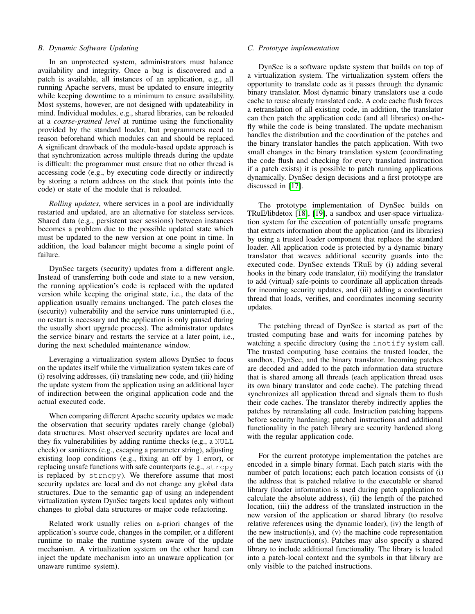## *B. Dynamic Software Updating*

In an unprotected system, administrators must balance availability and integrity. Once a bug is discovered and a patch is available, all instances of an application, e.g., all running Apache servers, must be updated to ensure integrity while keeping downtime to a minimum to ensure availability. Most systems, however, are not designed with updateability in mind. Individual modules, e.g., shared libraries, can be reloaded at a *coarse-grained level* at runtime using the functionality provided by the standard loader, but programmers need to reason beforehand which modules can and should be replaced. A significant drawback of the module-based update approach is that synchronization across multiple threads during the update is difficult: the programmer must ensure that no other thread is accessing code (e.g., by executing code directly or indirectly by storing a return address on the stack that points into the code) or state of the module that is reloaded.

*Rolling updates*, where services in a pool are individually restarted and updated, are an alternative for stateless services. Shared data (e.g., persistent user sessions) between instances becomes a problem due to the possible updated state which must be updated to the new version at one point in time. In addition, the load balancer might become a single point of failure.

DynSec targets (security) updates from a different angle. Instead of transferring both code and state to a new version, the running application's code is replaced with the updated version while keeping the original state, i.e., the data of the application usually remains unchanged. The patch closes the (security) vulnerability and the service runs uninterrupted (i.e., no restart is necessary and the application is only paused during the usually short upgrade process). The administrator updates the service binary and restarts the service at a later point, i.e., during the next scheduled maintenance window.

Leveraging a virtualization system allows DynSec to focus on the updates itself while the virtualization system takes care of (i) resolving addresses, (ii) translating new code, and (iii) hiding the update system from the application using an additional layer of indirection between the original application code and the actual executed code.

When comparing different Apache security updates we made the observation that security updates rarely change (global) data structures. Most observed security updates are local and they fix vulnerabilities by adding runtime checks (e.g., a NULL check) or sanitizers (e.g., escaping a parameter string), adjusting existing loop conditions (e.g., fixing an off by 1 error), or replacing unsafe functions with safe counterparts (e.g., strcpy is replaced by strncpy). We therefore assume that most security updates are local and do not change any global data structures. Due to the semantic gap of using an independent virtualization system DynSec targets local updates only without changes to global data structures or major code refactoring.

Related work usually relies on a-priori changes of the application's source code, changes in the compiler, or a different runtime to make the runtime system aware of the update mechanism. A virtualization system on the other hand can inject the update mechanism into an unaware application (or unaware runtime system).

#### *C. Prototype implementation*

DynSec is a software update system that builds on top of a virtualization system. The virtualization system offers the opportunity to translate code as it passes through the dynamic binary translator. Most dynamic binary translators use a code cache to reuse already translated code. A code cache flush forces a retranslation of all existing code, in addition, the translator can then patch the application code (and all libraries) on-thefly while the code is being translated. The update mechanism handles the distribution and the coordination of the patches and the binary translator handles the patch application. With two small changes in the binary translation system (coordinating the code flush and checking for every translated instruction if a patch exists) it is possible to patch running applications dynamically. DynSec design decisions and a first prototype are discussed in [\[17\]](#page-7-19).

The prototype implementation of DynSec builds on TRuE/libdetox [\[18\]](#page-7-20), [\[19\]](#page-7-3), a sandbox and user-space virtualization system for the execution of potentially unsafe programs that extracts information about the application (and its libraries) by using a trusted loader component that replaces the standard loader. All application code is protected by a dynamic binary translator that weaves additional security guards into the executed code. DynSec extends TRuE by (i) adding several hooks in the binary code translator, (ii) modifying the translator to add (virtual) safe-points to coordinate all application threads for incoming security updates, and (iii) adding a coordination thread that loads, verifies, and coordinates incoming security updates.

The patching thread of DynSec is started as part of the trusted computing base and waits for incoming patches by watching a specific directory (using the inotify system call. The trusted computing base contains the trusted loader, the sandbox, DynSec, and the binary translator. Incoming patches are decoded and added to the patch information data structure that is shared among all threads (each application thread uses its own binary translator and code cache). The patching thread synchronizes all application thread and signals them to flush their code caches. The translator thereby indirectly applies the patches by retranslating all code. Instruction patching happens before security hardening; patched instructions and additional functionality in the patch library are security hardened along with the regular application code.

For the current prototype implementation the patches are encoded in a simple binary format. Each patch starts with the number of patch locations; each patch location consists of (i) the address that is patched relative to the executable or shared library (loader information is used during patch application to calculate the absolute address), (ii) the length of the patched location, (iii) the address of the translated instruction in the new version of the application or shared library (to resolve relative references using the dynamic loader), (iv) the length of the new instruction(s), and (v) the machine code representation of the new instruction(s). Patches may also specify a shared library to include additional functionality. The library is loaded into a patch-local context and the symbols in that library are only visible to the patched instructions.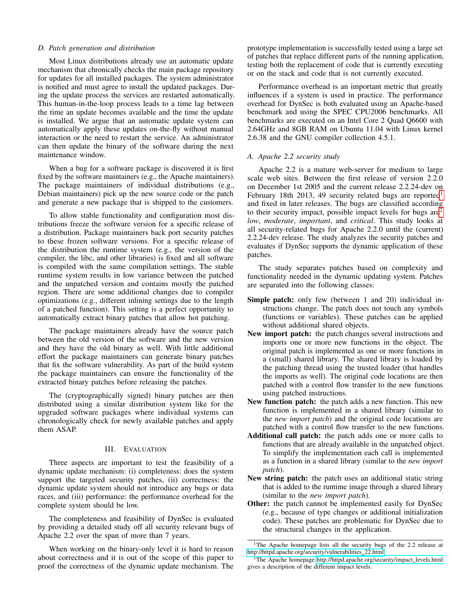#### *D. Patch generation and distribution*

Most Linux distributions already use an automatic update mechanism that chronically checks the main package repository for updates for all installed packages. The system administrator is notified and must agree to install the updated packages. During the update process the services are restarted automatically. This human-in-the-loop process leads to a time lag between the time an update becomes available and the time the update is installed. We argue that an automatic update system can automatically apply these updates on-the-fly without manual interaction or the need to restart the service. An administrator can then update the binary of the software during the next maintenance window.

When a bug for a software package is discovered it is first fixed by the software maintainers (e.g., the Apache maintainers). The package maintainers of individual distributions (e.g., Debian maintainers) pick up the new source code or the patch and generate a new package that is shipped to the customers.

To allow stable functionality and configuration most distributions freeze the software version for a specific release of a distribution. Package maintainers back port security patches to these frozen software versions. For a specific release of the distribution the runtime system (e.g., the version of the compiler, the libc, and other libraries) is fixed and all software is compiled with the same compilation settings. The stable runtime system results in low variance between the patched and the unpatched version and contains mostly the patched region. There are some additional changes due to compiler optimizations (e.g., different inlining settings due to the length of a patched function). This setting is a perfect opportunity to automatically extract binary patches that allow hot patching.

The package maintainers already have the source patch between the old version of the software and the new version and they have the old binary as well. With little additional effort the package maintainers can generate binary patches that fix the software vulnerability. As part of the build system the package maintainers can ensure the functionality of the extracted binary patches before releasing the patches.

The (cryptographically signed) binary patches are then distributed using a similar distribution system like for the upgraded software packages where individual systems can chronologically check for newly available patches and apply them ASAP.

## III. EVALUATION

Three aspects are important to test the feasibility of a dynamic update mechanism: (i) completeness: does the system support the targeted security patches, (ii) correctness: the dynamic update system should not introduce any bugs or data races, and (iii) performance: the performance overhead for the complete system should be low.

The completeness and feasibility of DynSec is evaluated by providing a detailed study off all security relevant bugs of Apache 2.2 over the span of more than 7 years.

When working on the binary-only level it is hard to reason about correctness and it is out of the scope of this paper to proof the correctness of the dynamic update mechanism. The prototype implementation is successfully tested using a large set of patches that replace different parts of the running application, testing both the replacement of code that is currently executing or on the stack and code that is not currently executed.

Performance overhead is an important metric that greatly influences if a system is used in practice. The performance overhead for DynSec is both evaluated using an Apache-based benchmark and using the SPEC CPU2006 benchmarks. All benchmarks are executed on an Intel Core 2 Quad Q6600 with 2.64GHz and 8GB RAM on Ubuntu 11.04 with Linux kernel 2.6.38 and the GNU compiler collection 4.5.1.

## *A. Apache 2.2 security study*

Apache 2.2 is a mature web-server for medium to large scale web sites. Between the first release of version 2.2.0 on December 1st 2005 and the current release 2.2.24-dev on February [1](#page-3-0)8th 2013, 49 security related bugs are reported<sup>1</sup> and fixed in later releases. The bugs are classified according to their security impact, possible impact levels for bugs  $are^2$  $are^2$ *low*, *moderate*, *important*, and *critical*. This study looks at all security-related bugs for Apache 2.2.0 until the (current) 2.2.24-dev release. The study analyzes the security patches and evaluates if DynSec supports the dynamic application of these patches.

The study separates patches based on complexity and functionality needed in the dynamic updating system. Patches are separated into the following classes:

- Simple patch: only few (between 1 and 20) individual instructions change. The patch does not touch any symbols (functions or variables). These patches can be applied without additional shared objects.
- New import patch: the patch changes several instructions and imports one or more new functions in the object. The original patch is implemented as one or more functions in a (small) shared library. The shared library is loaded by the patching thread using the trusted loader (that handles the imports as well). The original code locations are then patched with a control flow transfer to the new functions using patched instructions.
- New function patch: the patch adds a new function. This new function is implemented in a shared library (similar to the *new import patch*) and the original code locations are patched with a control flow transfer to the new functions.
- Additional call patch: the patch adds one or more calls to functions that are already available in the unpatched object. To simplify the implementation each call is implemented as a function in a shared library (similar to the *new import patch*).
- New string patch: the patch uses an additional static string that is added to the runtime image through a shared library (similar to the *new import patch*).
- Other: the patch cannot be implemented easily for DynSec (e.g., because of type changes or additional initialization code). These patches are problematic for DynSec due to the structural changes in the application.

<span id="page-3-0"></span><sup>&</sup>lt;sup>1</sup>The Apache homepage lists all the security bugs of the 2.2 release at [http://httpd.apache.org/security/vulnerabilities](http://httpd.apache.org/security/vulnerabilities_22.html) 22.html.

<span id="page-3-1"></span> $2$ The Apache homepage [http://httpd.apache.org/security/impact](http://httpd.apache.org/security/impact_levels.html)\_levels.html gives a description of the different impact levels.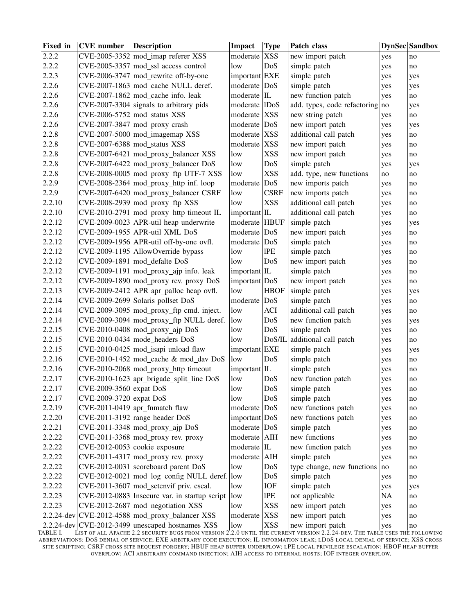| <b>Fixed</b> in | <b>CVE</b> number               | <b>Description</b>                                      | Impact          | <b>Type</b> | Patch class                     |           | <b>DynSec</b> Sandbox |
|-----------------|---------------------------------|---------------------------------------------------------|-----------------|-------------|---------------------------------|-----------|-----------------------|
| 2.2.2           |                                 | CVE-2005-3352 mod_imap referer XSS                      | moderate XSS    |             | new import patch                | yes       | no                    |
| 2.2.2           |                                 | $CVE-2005-3357 \mid$ mod ssl access control             | low             | DoS         | simple patch                    | yes       | no                    |
| 2.2.3           |                                 | CVE-2006-3747 mod_rewrite off-by-one                    | important EXE   |             | simple patch                    | yes       | yes                   |
| 2.2.6           |                                 | CVE-2007-1863 mod_cache NULL deref.                     | moderate   DoS  |             | simple patch                    | yes       | yes                   |
| 2.2.6           |                                 | $CVE-2007-1862 \mod$ cache info. leak                   | moderate $ $ IL |             | new function patch              | yes       | no                    |
| 2.2.6           |                                 | $CVE-2007-3304$ signals to arbitrary pids               | moderate  IDoS  |             | add. types, code refactoring no |           | yes                   |
| 2.2.6           |                                 | $CVE-2006-5752 \mod$ _status XSS                        | moderate XSS    |             | new string patch                | yes       | no                    |
| 2.2.6           |                                 | CVE-2007-3847 mod_proxy crash                           | moderate DoS    |             | new import patch                | yes       | yes                   |
| 2.2.8           |                                 | $CVE-2007-5000 \mod$ imagemap XSS                       | moderate        | <b>XSS</b>  | additional call patch           | yes       | no                    |
| 2.2.8           |                                 | CVE-2007-6388 mod_status XSS                            | moderate        | <b>XSS</b>  | new import patch                | yes       | no                    |
| 2.2.8           |                                 | CVE-2007-6421   mod_proxy_balancer XSS                  | low             | <b>XSS</b>  | new import patch                | yes       | no                    |
| 2.2.8           |                                 | CVE-2007-6422 mod_proxy_balancer DoS                    | low             | DoS         | simple patch                    | yes       | yes                   |
| 2.2.8           |                                 | $CVE-2008-0005 \mod prows_f$ ftp UTF-7 XSS              | low             | <b>XSS</b>  | add. type, new functions        | no        | no                    |
| 2.2.9           |                                 | $CVE-2008-2364 \mod prows$ http inf. loop               | moderate        | DoS         | new imports patch               | yes       | no                    |
| 2.2.9           |                                 | CVE-2007-6420 mod_proxy_balancer CSRF                   | low             | <b>CSRF</b> | new imports patch               | yes       | no                    |
| 2.2.10          |                                 | $CVE-2008-2939 \mod prows$ ftp XSS                      | low             | <b>XSS</b>  | additional call patch           | yes       | no                    |
| 2.2.10          |                                 | CVE-2010-2791   mod_proxy_http timeout IL               | $important$ IL  |             | additional call patch           | yes       | no                    |
| 2.2.12          |                                 | $CVE-2009-0023$ APR-util heap underwrite                | moderate HBUF   |             | simple patch                    | yes       | yes                   |
| 2.2.12          |                                 | CVE-2009-1955 APR-util XML DoS                          | moderate DoS    |             | new import patch                | yes       | no                    |
| 2.2.12          |                                 | $CVE-2009-1956$ APR-util off-by-one ovfl.               | moderate   DoS  |             | simple patch                    | yes       | no                    |
| 2.2.12          |                                 | CVE-2009-1195 AllowOverride bypass                      | low             | <b>IPE</b>  | simple patch                    | yes       | no                    |
| 2.2.12          |                                 | CVE-2009-1891 mod_defalte DoS                           | low             | DoS         | new import patch                | yes       | no                    |
| 2.2.12          |                                 | $CVE-2009-1191 \mid mod\_proxy\_ajp$ info. leak         | $important$  IL |             | simple patch                    | yes       | no                    |
| 2.2.12          |                                 | $CVE-2009-1890$ mod_proxy rev. proxy DoS                | important DoS   |             | new import patch                | yes       | no                    |
| 2.2.13          |                                 | $CVE-2009-2412$ APR apr_palloc heap ovfl.               | low             | <b>HBOF</b> | simple patch                    | yes       | yes                   |
| 2.2.14          |                                 | CVE-2009-2699 Solaris pollset DoS                       | moderate   DoS  |             | simple patch                    | yes       | no                    |
| 2.2.14          |                                 | CVE-2009-3095   mod_proxy_ftp cmd. inject.              | low             | ACI         | additional call patch           | yes       | no                    |
| 2.2.14          |                                 | CVE-2009-3094 mod_proxy_ftp NULL deref.                 | low             | DoS         | new function patch              | yes       | yes                   |
| 2.2.15          |                                 | $CVE-2010-0408 \mid \text{mod\_proxy\_ajp DoS}$         | low             | DoS         | simple patch                    | yes       | no                    |
| 2.2.15          |                                 | CVE-2010-0434 mode_headers DoS                          | low             | DoS/IL      | additional call patch           | yes       | no                    |
| 2.2.15          |                                 | $CVE-2010-0425 \mid \text{mod\_isapi unload flaw}$      | important EXE   |             | simple patch                    | yes       | yes                   |
| 2.2.16          |                                 | $CVE-2010-1452 \mod$ cache & mod_dav DoS                | low             | DoS         | simple patch                    | yes       | no                    |
| 2.2.16          |                                 | $CVE-2010-2068 \mod prows$ http timeout                 | important IL    |             | simple patch                    | yes       | no                    |
| 2.2.17          |                                 | CVE-2010-1623 apr_brigade_split_line DoS                | low             | DoS         | new function patch              | yes       | no                    |
| 2.2.17          | $CVE-2009-3560$ expat DoS       |                                                         | low             | DoS         | simple patch                    | yes       | no                    |
| 2.2.17          | $CVE-2009-3720$ expat DoS       |                                                         | low             | DoS         | simple patch                    | yes       | no                    |
| 2.2.19          |                                 | $CVE-2011-0419$ apr_fnmatch flaw                        | moderate DoS    |             | new functions patch             | yes       | no                    |
| 2.2.20          |                                 | $CVE-2011-3192$ range header DoS                        | important DoS   |             | new functions patch             | yes       | no                    |
| 2.2.21          |                                 | $CVE-2011-3348 \mod prowsq$ ajp DoS                     | moderate DoS    |             | simple patch                    | yes       | no                    |
| 2.2.22          |                                 | $CVE-2011-3368 \mod prows$ roxy rev. proxy              | moderate AIH    |             | new functions                   | yes       | no                    |
| 2.2.22          | $CVE-2012-0053$ cookie exposure |                                                         | moderate $ $ IL |             | new function patch              | yes       | no                    |
| 2.2.22          |                                 | $CVE-2011-4317 \mid mod\_proxy$ rev. proxy              | moderate        | <b>AIH</b>  | simple patch                    | yes       | no                    |
| 2.2.22          |                                 | CVE-2012-0031 scoreboard parent DoS                     | low             | DoS         | type change, new functions      | no        | no                    |
| 2.2.22          |                                 | $CVE-2012-0021$ mod_log_config NULL deref. low          |                 | DoS         | simple patch                    | yes       | no                    |
| 2.2.22          |                                 | $CVE-2011-3607 \text{ mod\_setenvif priv.}$ escal.      | low             | <b>IOF</b>  | simple patch                    | yes       | yes                   |
| 2.2.23          |                                 | CVE-2012-0883 Insecure var. in startup script           | low             | <b>IPE</b>  | not applicable                  | <b>NA</b> | no                    |
| 2.2.23          |                                 | $CVE-2012-2687 \text{ mod\_negotiation } XSS$           | low             | <b>XSS</b>  | new import patch                | yes       | no                    |
|                 |                                 | 2.2.24-dev CVE-2012-4588 mod_proxy_balancer XSS         | moderate        | <b>XSS</b>  | new import patch                | yes       | no                    |
|                 |                                 | $2.2.24$ -dev $ $ CVE-2012-3499 unescaped hostnames XSS | low             | <b>XSS</b>  | new import patch                | yes       | no                    |

<span id="page-4-0"></span>TABLE I. LIST OF ALL APACHE 2.2 SECURITY BUGS FROM VERSION 2.2.0 UNTIL THE CURRENT VERSION 2.2.24-DEV. THE TABLE USES THE FOLLOWING ABBREVIATIONS: DOS DENIAL OF SERVICE; EXE ARBITRARY CODE EXECUTION; IL INFORMATION LEAK; LDOS LOCAL DENIAL OF SERVICE; XSS CROSS SITE SCRIPTING; CSRF CROSS SITE REQUEST FORGERY; HBUF HEAP BUFFER UNDERFLOW; LPE LOCAL PRIVILEGE ESCALATION; HBOF HEAP BUFFER OVERFLOW; ACI ARBITRARY COMMAND INJECTION; AIH ACCESS TO INTERNAL HOSTS; IOF INTEGER OVERFLOW.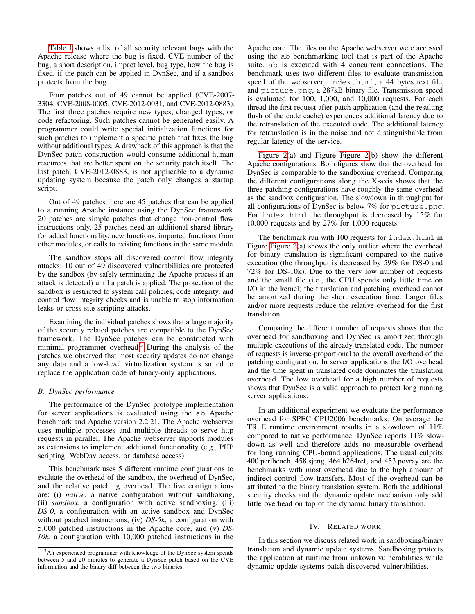[Table I](#page-4-0) shows a list of all security relevant bugs with the Apache release where the bug is fixed, CVE number of the bug, a short description, impact level, bug type, how the bug is fixed, if the patch can be applied in DynSec, and if a sandbox protects from the bug.

Four patches out of 49 cannot be applied (CVE-2007- 3304, CVE-2008-0005, CVE-2012-0031, and CVE-2012-0883). The first three patches require new types, changed types, or code refactoring. Such patches cannot be generated easily. A programmer could write special initialization functions for such patches to implement a specific patch that fixes the bug without additional types. A drawback of this approach is that the DynSec patch construction would consume additional human resources that are better spent on the security patch itself. The last patch, CVE-2012-0883, is not applicable to a dynamic updating system because the patch only changes a startup script.

Out of 49 patches there are 45 patches that can be applied to a running Apache instance using the DynSec framework. 20 patches are simple patches that change non-control flow instructions only, 25 patches need an additional shared library for added functionality, new functions, imported functions from other modules, or calls to existing functions in the same module.

The sandbox stops all discovered control flow integrity attacks: 10 out of 49 discovered vulnerabilities are protected by the sandbox (by safely terminating the Apache process if an attack is detected) until a patch is applied. The protection of the sandbox is restricted to system call policies, code integrity, and control flow integrity checks and is unable to stop information leaks or cross-site-scripting attacks.

Examining the individual patches shows that a large majority of the security related patches are compatible to the DynSec framework. The DynSec patches can be constructed with minimal programmer overhead.[3](#page-5-0) During the analysis of the patches we observed that most security updates do not change any data and a low-level virtualization system is suited to replace the application code of binary-only applications.

### *B. DynSec performance*

The performance of the DynSec prototype implementation for server applications is evaluated using the ab Apache benchmark and Apache version 2.2.21. The Apache webserver uses multiple processes and multiple threads to serve http requests in parallel. The Apache webserver supports modules as extensions to implement additional functionality (e.g., PHP scripting, WebDav access, or database access).

This benchmark uses 5 different runtime configurations to evaluate the overhead of the sandbox, the overhead of DynSec, and the relative patching overhead. The five configurations are: (i) *native*, a native configuration without sandboxing, (ii) *sandbox*, a configuration with active sandboxing, (iii) *DS-0*, a configuration with an active sandbox and DynSec without patched instructions, (iv) *DS-5k*, a configuration with 5,000 patched instructions in the Apache core, and (v) *DS-10k*, a configuration with 10,000 patched instructions in the Apache core. The files on the Apache webserver were accessed using the ab benchmarking tool that is part of the Apache suite. ab is executed with 4 concurrent connections. The benchmark uses two different files to evaluate transmission speed of the webserver, index.html, a 44 bytes text file, and picture.png, a 287kB binary file. Transmission speed is evaluated for 100, 1,000, and 10,000 requests. For each thread the first request after patch application (and the resulting flush of the code cache) experiences additional latency due to the retranslation of the executed code. The additional latency for retranslation is in the noise and not distinguishable from regular latency of the service.

[Figure 2\(](#page-6-0)a) and Figure [Figure 2\(](#page-6-0)b) show the different Apache configurations. Both figures show that the overhead for DynSec is comparable to the sandboxing overhead. Comparing the different configurations along the X-axis shows that the three patching configurations have roughly the same overhead as the sandbox configuration. The slowdown in throughput for all configurations of DynSec is below 7% for picture.png. For index.html the throughput is decreased by 15% for 10.000 requests and by 27% for 1.000 requests.

The benchmark run with 100 requests for index.html in Figure [Figure 2\(](#page-6-0)a) shows the only outlier where the overhead for binary translation is significant compared to the native execution (the throughput is decreased by 59% for DS-0 and 72% for DS-10k). Due to the very low number of requests and the small file (i.e., the CPU spends only little time on I/O in the kernel) the translation and patching overhead cannot be amortized during the short execution time. Larger files and/or more requests reduce the relative overhead for the first translation.

Comparing the different number of requests shows that the overhead for sandboxing and DynSec is amortized through multiple executions of the already translated code. The number of requests is inverse-proportional to the overall overhead of the patching configuration. In server applications the I/O overhead and the time spent in translated code dominates the translation overhead. The low overhead for a high number of requests shows that DynSec is a valid approach to protect long running server applications.

In an additional experiment we evaluate the performance overhead for SPEC CPU2006 benchmarks. On average the TRuE runtime environment results in a slowdown of 11% compared to native performance. DynSec reports 11% slowdown as well and therefore adds no measurable overhead for long running CPU-bound applications. The usual culprits 400.perlbench, 458.sjeng, 464.h264ref, and 453.povray are the benchmarks with most overhead due to the high amount of indirect control flow transfers. Most of the overhead can be attributed to the binary translation system. Both the additional security checks and the dynamic update mechanism only add little overhead on top of the dynamic binary translation.

### IV. RELATED WORK

In this section we discuss related work in sandboxing/binary translation and dynamic update systems. Sandboxing protects the application at runtime from unkown vulnerabilities while dynamic update systems patch discovered vulnerabilities.

<span id="page-5-0"></span><sup>&</sup>lt;sup>3</sup>An experienced programmer with knowledge of the DynSec system spends between 5 and 20 minutes to generate a DynSec patch based on the CVE information and the binary diff between the two binaries.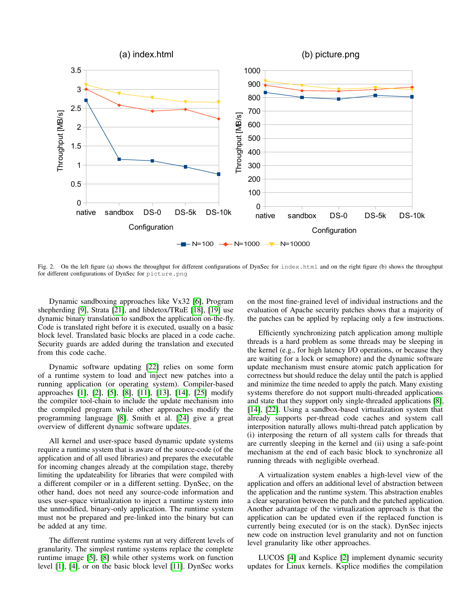

<span id="page-6-0"></span>Fig. 2. On the left figure (a) shows the throughput for different configurations of DynSec for index.html and on the right figure (b) shows the throughput for different configurations of DynSec for picture.png

Dynamic sandboxing approaches like Vx32 [\[6\]](#page-7-1), Program shepherding [\[9\]](#page-7-2), Strata [\[21\]](#page-7-4), and libdetox/TRuE [\[18\]](#page-7-20), [\[19\]](#page-7-3) use dynamic binary translation to sandbox the application on-the-fly. Code is translated right before it is executed, usually on a basic block level. Translated basic blocks are placed in a code cache. Security guards are added during the translation and executed from this code cache.

Dynamic software updating [\[22\]](#page-7-17) relies on some form of a runtime system to load and inject new patches into a running application (or operating system). Compiler-based approaches [\[1\]](#page-7-10), [\[2\]](#page-7-23), [\[5\]](#page-7-11), [\[8\]](#page-7-12), [\[11\]](#page-7-13), [\[13\]](#page-7-14), [\[14\]](#page-7-15), [\[25\]](#page-7-18) modify the compiler tool-chain to include the update mechanism into the compiled program while other approaches modify the programming language [\[8\]](#page-7-12). Smith et al. [\[24\]](#page-7-24) give a great overview of different dynamic software updates.

All kernel and user-space based dynamic update systems require a runtime system that is aware of the source-code (of the application and of all used libraries) and prepares the executable for incoming changes already at the compilation stage, thereby limiting the updateability for libraries that were compiled with a different compiler or in a different setting. DynSec, on the other hand, does not need any source-code information and uses user-space virtualization to inject a runtime system into the unmodified, binary-only application. The runtime system must not be prepared and pre-linked into the binary but can be added at any time.

The different runtime systems run at very different levels of granularity. The simplest runtime systems replace the complete runtime image [\[5\]](#page-7-11), [\[8\]](#page-7-12) while other systems work on function level [\[1\]](#page-7-10), [\[4\]](#page-7-25), or on the basic block level [\[11\]](#page-7-13). DynSec works on the most fine-grained level of individual instructions and the evaluation of Apache security patches shows that a majority of the patches can be applied by replacing only a few instructions.

Efficiently synchronizing patch application among multiple threads is a hard problem as some threads may be sleeping in the kernel (e.g., for high latency I/O operations, or because they are waiting for a lock or semaphore) and the dynamic software update mechanism must ensure atomic patch application for correctness but should reduce the delay until the patch is applied and minimize the time needed to apply the patch. Many existing systems therefore do not support multi-threaded applications and state that they support only single-threaded applications [\[8\]](#page-7-12), [\[14\]](#page-7-15), [\[22\]](#page-7-17). Using a sandbox-based virtualization system that already supports per-thread code caches and system call interposition naturally allows multi-thread patch application by (i) interposing the return of all system calls for threads that are currently sleeping in the kernel and (ii) using a safe-point mechanism at the end of each basic block to synchronize all running threads with negligible overhead.

A virtualization system enables a high-level view of the application and offers an additional level of abstraction between the application and the runtime system. This abstraction enables a clear separation between the patch and the patched application. Another advantage of the virtualization approach is that the application can be updated even if the replaced function is currently being executed (or is on the stack). DynSec injects new code on instruction level granularity and not on function level granularity like other approaches.

LUCOS [\[4\]](#page-7-25) and Ksplice [\[2\]](#page-7-23) implement dynamic security updates for Linux kernels. Ksplice modifies the compilation